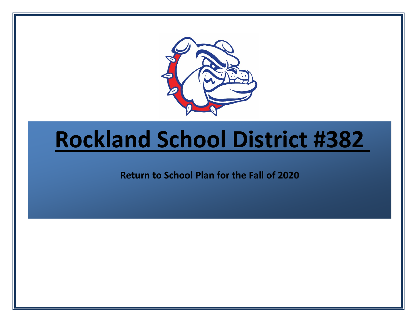

# **Rockland School District #382**

**Return to School Plan for the Fall of 2020**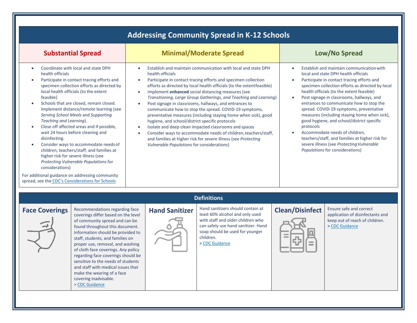|                                                                                                                                                                                                                                                                                                                                                                                                                                                                                                                                                                                                                                                                                                                                                                                                             |                                                                                                                                                                                           | <b>Addressing Community Spread in K-12 Schools</b>                                                                                                                                                                                                                                                                                                                                                                                                                                                                                                                                                                                                                                                                      |                        |                                                                                                                                                                                                                                                                                                                                                                                                                                                                                                                                                                                                                                         |
|-------------------------------------------------------------------------------------------------------------------------------------------------------------------------------------------------------------------------------------------------------------------------------------------------------------------------------------------------------------------------------------------------------------------------------------------------------------------------------------------------------------------------------------------------------------------------------------------------------------------------------------------------------------------------------------------------------------------------------------------------------------------------------------------------------------|-------------------------------------------------------------------------------------------------------------------------------------------------------------------------------------------|-------------------------------------------------------------------------------------------------------------------------------------------------------------------------------------------------------------------------------------------------------------------------------------------------------------------------------------------------------------------------------------------------------------------------------------------------------------------------------------------------------------------------------------------------------------------------------------------------------------------------------------------------------------------------------------------------------------------------|------------------------|-----------------------------------------------------------------------------------------------------------------------------------------------------------------------------------------------------------------------------------------------------------------------------------------------------------------------------------------------------------------------------------------------------------------------------------------------------------------------------------------------------------------------------------------------------------------------------------------------------------------------------------------|
| <b>Substantial Spread</b>                                                                                                                                                                                                                                                                                                                                                                                                                                                                                                                                                                                                                                                                                                                                                                                   |                                                                                                                                                                                           | <b>Minimal/Moderate Spread</b>                                                                                                                                                                                                                                                                                                                                                                                                                                                                                                                                                                                                                                                                                          |                        | Low/No Spread                                                                                                                                                                                                                                                                                                                                                                                                                                                                                                                                                                                                                           |
| Coordinate with local and state DPH<br>$\bullet$<br>health officials<br>Participate in contact tracing efforts and<br>$\bullet$<br>specimen collection efforts as directed by<br>local health officials (to the extent<br>feasible)<br>Schools that are closed, remain closed.<br>Implement distance/remote learning (see<br>Serving School Meals and Supporting<br>Teaching and Learning).<br>Close off affected areas and if possible,<br>$\bullet$<br>wait 24 hours before cleaning and<br>disinfecting.<br>Consider ways to accommodate needs of<br>children, teachers/staff, and families at<br>higher risk for severe illness (see<br>Protecting Vulnerable Populations for<br>considerations)<br>For additional guidance on addressing community<br>spread, see the CDC's Considerations for Schools | $\bullet$<br>health officials<br>$\bullet$<br>$\bullet$<br>$\bullet$<br>hygiene, and school/district specific protocols<br>$\bullet$<br><b>Vulnerable Populations for considerations)</b> | Establish and maintain communication with local and state DPH<br>Participate in contact tracing efforts and specimen collection<br>efforts as directed by local health officials (to the extentfeasible)<br>Implement enhanced social distancing measures (see<br>Transitioning, Large Group Gatherings, and Teaching and Learning)<br>Post signage in classrooms, hallways, and entrances to<br>communicate how to stop the spread. COVID-19 symptoms,<br>preventative measures (including staying home when sick), good<br>Isolate and deep clean impacted classrooms and spaces<br>Consider ways to accommodate needs of children, teachers/staff,<br>and families at higher risk for severe illness (see Protecting | $\bullet$<br>protocols | Establish and maintain communication with<br>local and state DPH health officials<br>Participate in contact tracing efforts and<br>specimen collection efforts as directed by local<br>health officials (to the extent feasible)<br>Post signage in classrooms, hallways, and<br>entrances to communicate how to stop the<br>spread. COVID-19 symptoms, preventative<br>measures (including staying home when sick),<br>good hygiene, and school/district specific<br>Accommodate needs of children,<br>teachers/staff, and families at higher risk for<br>severe illness (see Protecting Vulnerable<br>Populations for considerations) |
|                                                                                                                                                                                                                                                                                                                                                                                                                                                                                                                                                                                                                                                                                                                                                                                                             |                                                                                                                                                                                           | <b>Definitions</b>                                                                                                                                                                                                                                                                                                                                                                                                                                                                                                                                                                                                                                                                                                      |                        |                                                                                                                                                                                                                                                                                                                                                                                                                                                                                                                                                                                                                                         |
| Recommendations regarding face<br><b>Face Coverings</b><br>coverings differ based on the level<br>of community spread and can be<br>found throughout this document.<br>Information should be provided to<br>staff, students, and families on<br>proper use, removal, and washing<br>of cloth face coverings. Any policy<br>regarding face coverings should be<br>sensitive to the needs of students<br>and staff with medical issues that<br>make the wearing of a face<br>covering inadvisable.<br>> CDC Guidance                                                                                                                                                                                                                                                                                          | <b>Hand Sanitizer</b>                                                                                                                                                                     | Hand sanitizers should contain at<br>least 60% alcohol and only used<br>with staff and older children who<br>can safely use hand sanitizer. Hand<br>soap should be used for younger<br>children.<br>> CDC Guidance                                                                                                                                                                                                                                                                                                                                                                                                                                                                                                      | <b>Clean/Disinfect</b> | Ensure safe and correct<br>application of disinfectants and<br>keep out of reach of children.<br>> CDC Guidance                                                                                                                                                                                                                                                                                                                                                                                                                                                                                                                         |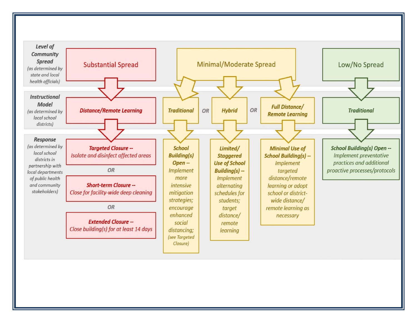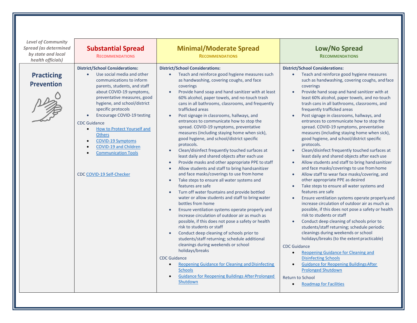| <b>Level of Community</b><br><b>Spread (as determined</b><br>by state and local<br>health officials) | <b>Substantial Spread</b><br><b>RECOMMENDATIONS</b>                                                                                                                                                                                                                                                                                                                                                                                                                                                           | <b>Minimal/Moderate Spread</b><br><b>RECOMMENDATIONS</b>                                                                                                                                                                                                                                                                                                                                                                                                                                                                                                                                                                                                                                                                                                                                                                                                                                                                                                                                                                                                                                                                                                                                                                                                                                                                                                                                                                                                                                                                                                                                          | Low/No Spread<br><b>RECOMMENDATIONS</b>                                                                                                                                                                                                                                                                                                                                                                                                                                                                                                                                                                                                                                                                                                                                                                                                                                                                                                                                                                                                                                                                                                                                                                                                                                                                                                                                                                                                                                                                                                                                                                    |
|------------------------------------------------------------------------------------------------------|---------------------------------------------------------------------------------------------------------------------------------------------------------------------------------------------------------------------------------------------------------------------------------------------------------------------------------------------------------------------------------------------------------------------------------------------------------------------------------------------------------------|---------------------------------------------------------------------------------------------------------------------------------------------------------------------------------------------------------------------------------------------------------------------------------------------------------------------------------------------------------------------------------------------------------------------------------------------------------------------------------------------------------------------------------------------------------------------------------------------------------------------------------------------------------------------------------------------------------------------------------------------------------------------------------------------------------------------------------------------------------------------------------------------------------------------------------------------------------------------------------------------------------------------------------------------------------------------------------------------------------------------------------------------------------------------------------------------------------------------------------------------------------------------------------------------------------------------------------------------------------------------------------------------------------------------------------------------------------------------------------------------------------------------------------------------------------------------------------------------------|------------------------------------------------------------------------------------------------------------------------------------------------------------------------------------------------------------------------------------------------------------------------------------------------------------------------------------------------------------------------------------------------------------------------------------------------------------------------------------------------------------------------------------------------------------------------------------------------------------------------------------------------------------------------------------------------------------------------------------------------------------------------------------------------------------------------------------------------------------------------------------------------------------------------------------------------------------------------------------------------------------------------------------------------------------------------------------------------------------------------------------------------------------------------------------------------------------------------------------------------------------------------------------------------------------------------------------------------------------------------------------------------------------------------------------------------------------------------------------------------------------------------------------------------------------------------------------------------------------|
| <b>Practicing</b><br><b>Prevention</b>                                                               | <b>District/School Considerations:</b><br>Use social media and other<br>communications to inform<br>parents, students, and staff<br>about COVID-19 symptoms,<br>preventative measures, good<br>hygiene, and school/district<br>specific protocols<br>Encourage COVID-19 testing<br>$\bullet$<br><b>CDC Guidance</b><br>How to Protect Yourself and<br>$\bullet$<br><b>Others</b><br><b>COVID-19 Symptoms</b><br>$\bullet$<br>COVID-19 and Children<br><b>Communication Tools</b><br>CDC COVID-19 Self-Checker | <b>District/School Considerations:</b><br>Teach and reinforce good hygiene measures such<br>as handwashing, covering coughs, and face<br>coverings<br>Provide hand soap and hand sanitizer with at least<br>60% alcohol, paper towels, and no-touch trash<br>cans in all bathrooms, classrooms, and frequently<br>trafficked areas<br>Post signage in classrooms, hallways, and<br>entrances to communicate how to stop the<br>spread. COVID-19 symptoms, preventative<br>measures (including staying home when sick),<br>good hygiene, and school/district specific<br>protocols.<br>Clean/disinfect frequently touched surfaces at<br>least daily and shared objects after each use<br>Provide masks and other appropriate PPE to staff<br>$\bullet$<br>Allow students and staff to bring hand sanitizer<br>$\bullet$<br>and face masks/coverings to use from home<br>Take steps to ensure all water systems and<br>features are safe<br>Turn off water fountains and provide bottled<br>$\bullet$<br>water or allow students and staff to bring water<br>bottles from home<br>Ensure ventilation systems operate properly and<br>increase circulation of outdoor air as much as<br>possible, if this does not pose a safety or health<br>risk to students or staff<br>Conduct deep cleaning of schools prior to<br>students/staff returning; schedule additional<br>cleanings during weekends or school<br>holidays/breaks<br><b>CDC Guidance</b><br>Reopening Guidance for Cleaning and Disinfecting<br><b>Schools</b><br><b>Guidance for Reopening Buildings After Prolonged</b><br>Shutdown | <b>District/School Considerations:</b><br>Teach and reinforce good hygiene measures<br>$\bullet$<br>such as handwashing, covering coughs, and face<br>coverings<br>Provide hand soap and hand sanitizer with at<br>least 60% alcohol, paper towels, and no-touch<br>trash cans in all bathrooms, classrooms, and<br>frequently trafficked areas<br>Post signage in classrooms, hallways, and<br>entrances to communicate how to stop the<br>spread. COVID-19 symptoms, preventative<br>measures (including staying home when sick),<br>good hygiene, and school/district specific<br>protocols.<br>Clean/disinfect frequently touched surfaces at<br>least daily and shared objects after each use<br>Allow students and staff to bring handsanitizer<br>$\bullet$<br>and face masks/coverings to use from home<br>Allow staff to wear face masks/covering, and<br>other appropriate PPE as desired<br>Take steps to ensure all water systems and<br>features are safe<br>Ensure ventilation systems operate properly and<br>increase circulation of outdoor air as much as<br>possible, if this does not pose a safety or health<br>risk to students or staff<br>Conduct deep cleaning of schools prior to<br>students/staff returning; schedule periodic<br>cleanings during weekends or school<br>holidays/breaks (to the extent practicable)<br><b>CDC Guidance</b><br>Reopening Guidance for Cleaning and<br>$\bullet$<br><b>Disinfecting Schools</b><br><b>Guidance for Reopening Buildings After</b><br><b>Prolonged Shutdown</b><br>Return to School<br><b>Roadmap for Facilities</b><br>$\bullet$ |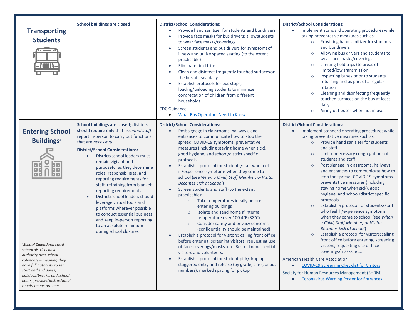| <b>Transporting</b><br><b>Students</b>                                                                                                                                                                                                                                                                                             | <b>School buildings are closed</b>                                                                                                                                                                                                                                                                                                                                                                                                                                                                                                                                                                                                  | <b>District/School Considerations:</b><br>Provide hand sanitizer for students and bus drivers<br>Provide face masks for bus drivers; allow students<br>to wear face masks/coverings<br>Screen students and bus drivers for symptoms of<br>$\bullet$<br>illness and utilize spaced seating (to the extent<br>practicable)<br>Eliminate field trips<br>Clean and disinfect frequently touched surfaces on<br>the bus at least daily<br>Establish protocols for bus stops,<br>loading/unloading students to minimize<br>congregation of children from different<br>households<br><b>CDC Guidance</b>                                                                                                                                                                                                                                                                                                                                                                                                                                                                                                                                                                                                                           | <b>District/School Considerations:</b><br>Implement standard operating procedures while<br>taking preventative measures such as:<br>Providing hand sanitizer for students<br>and bus drivers<br>Allowing bus drivers and students to<br>$\circ$<br>wear face masks/coverings<br>Limiting field trips (to areas of<br>$\circ$<br>limited/low transmission)<br>Inspecting buses prior to students<br>$\circ$<br>returning and as part of a regular<br>rotation<br>Cleaning and disinfecting frequently<br>$\circ$<br>touched surfaces on the bus at least<br>daily<br>Airing out buses when not in use<br>$\circ$                                                                                                                                                                                                                                                                                                                                                                                                                                                                                       |
|------------------------------------------------------------------------------------------------------------------------------------------------------------------------------------------------------------------------------------------------------------------------------------------------------------------------------------|-------------------------------------------------------------------------------------------------------------------------------------------------------------------------------------------------------------------------------------------------------------------------------------------------------------------------------------------------------------------------------------------------------------------------------------------------------------------------------------------------------------------------------------------------------------------------------------------------------------------------------------|-----------------------------------------------------------------------------------------------------------------------------------------------------------------------------------------------------------------------------------------------------------------------------------------------------------------------------------------------------------------------------------------------------------------------------------------------------------------------------------------------------------------------------------------------------------------------------------------------------------------------------------------------------------------------------------------------------------------------------------------------------------------------------------------------------------------------------------------------------------------------------------------------------------------------------------------------------------------------------------------------------------------------------------------------------------------------------------------------------------------------------------------------------------------------------------------------------------------------------|-------------------------------------------------------------------------------------------------------------------------------------------------------------------------------------------------------------------------------------------------------------------------------------------------------------------------------------------------------------------------------------------------------------------------------------------------------------------------------------------------------------------------------------------------------------------------------------------------------------------------------------------------------------------------------------------------------------------------------------------------------------------------------------------------------------------------------------------------------------------------------------------------------------------------------------------------------------------------------------------------------------------------------------------------------------------------------------------------------|
| <b>Entering School</b><br><b>Buildings<sup>3</sup></b><br><sup>3</sup> <b>School Calendars:</b> Local<br>school districts have<br>authority over school<br>calendars - meaning they<br>have full authority to set<br>start and end dates,<br>holidays/breaks, and school<br>hours, provided instructional<br>requirements are met. | School buildings are closed; districts<br>should require only that essential staff<br>report in-person to carry out functions<br>that are necessary.<br><b>District/School Considerations:</b><br>District/school leaders must<br>remain vigilant and<br>purposeful as they determine<br>roles, responsibilities, and<br>reporting requirements for<br>staff, refraining from blanket<br>reporting requirements<br>District/school leaders should<br>leverage virtual tools and<br>platforms wherever possible<br>to conduct essential business<br>and keep in-person reporting<br>to an absolute minimum<br>during school closures | <b>What Bus Operators Need to Know</b><br>$\bullet$<br><b>District/School Considerations:</b><br>Post signage in classrooms, hallways, and<br>$\bullet$<br>entrances to communicate how to stop the<br>spread. COVID-19 symptoms, preventative<br>measures (including staying home when sick),<br>good hygiene, and school/district specific<br>protocols.<br>Establish a protocol for students/staff who feel<br>ill/experience symptoms when they come to<br>school (see When a Child, Staff Member, or Visitor<br><b>Becomes Sick at School)</b><br>Screen students and staff (to the extent<br>practicable):<br>Take temperatures ideally before<br>$\circ$<br>entering buildings<br>Isolate and send home if internal<br>$\circ$<br>temperature over 100.4°F (38°C)<br>Consider safety and privacy concerns<br>$\circ$<br>(confidentiality should be maintained)<br>Establish a protocol for visitors: calling front office<br>before entering, screening visitors, requesting use<br>of face coverings/masks, etc. Restrict nonessential<br>visitors and volunteers.<br>Establish a protocol for student pick/drop up:<br>staggered entry and release (by grade, class, or bus<br>numbers), marked spacing for pickup | <b>District/School Considerations:</b><br>Implement standard operating procedures while<br>taking preventative measures such as:<br>o Provide hand sanitizer for students<br>and staff<br>Limit unnecessary congregations of<br>$\circ$<br>students and staff<br>Post signage in classrooms, hallways,<br>$\circ$<br>and entrances to communicate how to<br>stop the spread. COVID-19 symptoms,<br>preventative measures (including<br>staying home when sick), good<br>hygiene, and school/district specific<br>protocols<br>Establish a protocol for students/staff<br>$\circ$<br>who feel ill/experience symptoms<br>when they come to school (see When<br>a Child, Staff Member, or Visitor<br><b>Becomes Sick at School)</b><br>Establish a protocol for visitors: calling<br>$\circ$<br>front office before entering, screening<br>visitors, requesting use of face<br>coverings/masks, etc.<br><b>American Health Care Association</b><br><b>COVID-19 Screening Checklist for Visitors</b><br>Society for Human Resources Management (SHRM)<br><b>Coronavirus Warning Poster for Entrances</b> |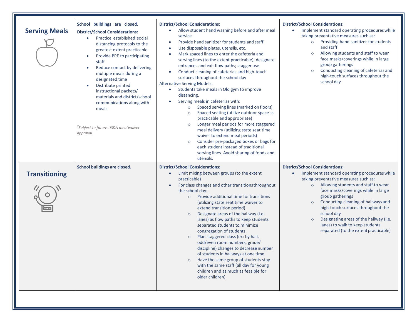| <b>Serving Meals</b> | School buildings are closed.<br><b>District/School Considerations:</b><br>Practice established social<br>$\bullet$<br>distancing protocols to the<br>greatest extent practicable<br>Provide PPE to participating<br>$\bullet$<br>staff<br>Reduce contact by delivering<br>$\bullet$<br>multiple meals during a<br>designated time<br>Distribute printed<br>$\bullet$<br>instructional packets/<br>materials and district/school<br>communications along with<br>meals<br><sup>2</sup> Subject to future USDA meal waiver<br>approval | <b>District/School Considerations:</b><br>Allow student hand washing before and after meal<br>٠<br>service<br>Provide hand sanitizer for students and staff<br>$\bullet$<br>Use disposable plates, utensils, etc.<br>$\bullet$<br>Mark spaced lines to enter the cafeteria and<br>$\bullet$<br>serving lines (to the extent practicable); designate<br>entrances and exit flow paths; stagger use<br>Conduct cleaning of cafeterias and high-touch<br>$\bullet$<br>surfaces throughout the school day<br><b>Alternative Serving Models:</b><br>Students take meals in Old gym to improve<br>$\bullet$<br>distancing.<br>Serving meals in cafeterias with:<br>$\bullet$<br>Spaced serving lines (marked on floors)<br>Spaced seating (utilize outdoor space as<br>$\circ$<br>practicable and appropriate)<br>Longer meal periods for more staggered<br>$\circ$<br>meal delivery (utilizing state seat time<br>waiver to extend meal periods)<br>Consider pre-packaged boxes or bags for<br>$\circ$<br>each student instead of traditional<br>serving lines. Avoid sharing of foods and<br>utensils. | <b>District/School Considerations:</b><br>Implement standard operating procedures while<br>$\bullet$<br>taking preventative measures such as:<br>Providing hand sanitizer for students<br>$\circ$<br>and staff<br>Allowing students and staff to wear<br>$\circ$<br>face masks/coverings while in large<br>group gatherings<br>Conducting cleaning of cafeterias and<br>$\circ$<br>high-touch surfaces throughout the<br>school day                                         |
|----------------------|--------------------------------------------------------------------------------------------------------------------------------------------------------------------------------------------------------------------------------------------------------------------------------------------------------------------------------------------------------------------------------------------------------------------------------------------------------------------------------------------------------------------------------------|----------------------------------------------------------------------------------------------------------------------------------------------------------------------------------------------------------------------------------------------------------------------------------------------------------------------------------------------------------------------------------------------------------------------------------------------------------------------------------------------------------------------------------------------------------------------------------------------------------------------------------------------------------------------------------------------------------------------------------------------------------------------------------------------------------------------------------------------------------------------------------------------------------------------------------------------------------------------------------------------------------------------------------------------------------------------------------------------------|-----------------------------------------------------------------------------------------------------------------------------------------------------------------------------------------------------------------------------------------------------------------------------------------------------------------------------------------------------------------------------------------------------------------------------------------------------------------------------|
| <b>Transitioning</b> | School buildings are closed.                                                                                                                                                                                                                                                                                                                                                                                                                                                                                                         | <b>District/School Considerations:</b><br>Limit mixing between groups (to the extent<br>$\bullet$<br>practicable)<br>For class changes and other transitions throughout<br>$\bullet$<br>the school day:<br>Provide additional time for transitions<br>$\circ$<br>(utilizing state seat time waiver to<br>extend transition period)<br>Designate areas of the hallway (i.e.<br>$\circ$<br>lanes) as flow paths to keep students<br>separated students to minimize<br>congregation of students<br>Plan staggered class (ex: by hall,<br>$\circ$<br>odd/even room numbers, grade/<br>discipline) changes to decrease number<br>of students in hallways at one time<br>Have the same group of students stay<br>$\circ$<br>with the same staff (all day for young<br>children and as much as feasible for<br>older children)                                                                                                                                                                                                                                                                            | <b>District/School Considerations:</b><br>Implement standard operating procedures while<br>taking preventative measures such as:<br>o Allowing students and staff to wear<br>face masks/coverings while in large<br>group gatherings<br>Conducting cleaning of hallways and<br>$\circ$<br>high-touch surfaces throughout the<br>school day<br>Designating areas of the hallway (i.e.<br>$\circ$<br>lanes) to walk to keep students<br>separated (to the extent practicable) |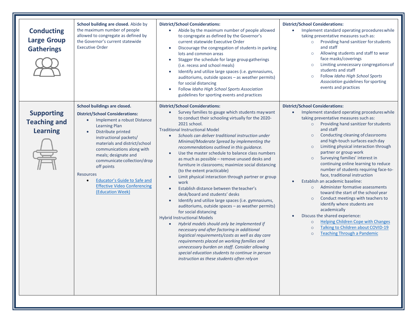| <b>Conducting</b><br><b>Large Group</b><br><b>Gatherings</b> | School building are closed. Abide by<br>the maximum number of people<br>allowed to congregate as defined by<br>the Governor's current statewide<br><b>Executive Order</b>                                                                                                                                                                                                                                                                                                     | <b>District/School Considerations:</b><br>Abide by the maximum number of people allowed<br>to congregate as defined by the Governor's<br>current statewide Executive Order<br>Discourage the congregation of students in parking<br>$\bullet$<br>lots and common areas<br>Stagger the schedule for large group gatherings<br>$\bullet$<br>(i.e. recess and school meals)<br>Identify and utilize large spaces (i.e. gymnasiums,<br>auditoriums, outside spaces - as weather permits)<br>for social distancing<br>Follow Idaho High School Sports Association<br>guidelines for sporting events and practices                                                                                                                                                                                                                                                                                                                                                                                                                                                                                                                                                                                                                                        | <b>District/School Considerations:</b><br>Implement standard operating procedures while<br>taking preventative measures such as:<br>Providing hand sanitizer for students<br>$\circ$<br>and staff<br>Allowing students and staff to wear<br>$\circ$<br>face masks/coverings<br>Limiting unnecessary congregations of<br>students and staff<br>Follow Idaho High School Sports<br>$\circ$<br>Association guidelines for sporting<br>events and practices                                                                                                                                                                                                                                                                                                                                                                                                                                                                                                    |
|--------------------------------------------------------------|-------------------------------------------------------------------------------------------------------------------------------------------------------------------------------------------------------------------------------------------------------------------------------------------------------------------------------------------------------------------------------------------------------------------------------------------------------------------------------|-----------------------------------------------------------------------------------------------------------------------------------------------------------------------------------------------------------------------------------------------------------------------------------------------------------------------------------------------------------------------------------------------------------------------------------------------------------------------------------------------------------------------------------------------------------------------------------------------------------------------------------------------------------------------------------------------------------------------------------------------------------------------------------------------------------------------------------------------------------------------------------------------------------------------------------------------------------------------------------------------------------------------------------------------------------------------------------------------------------------------------------------------------------------------------------------------------------------------------------------------------|------------------------------------------------------------------------------------------------------------------------------------------------------------------------------------------------------------------------------------------------------------------------------------------------------------------------------------------------------------------------------------------------------------------------------------------------------------------------------------------------------------------------------------------------------------------------------------------------------------------------------------------------------------------------------------------------------------------------------------------------------------------------------------------------------------------------------------------------------------------------------------------------------------------------------------------------------------|
| <b>Supporting</b><br><b>Teaching and</b><br><b>Learning</b>  | School buildings are closed.<br><b>District/School Considerations:</b><br>Implement a robust Distance<br>$\bullet$<br><b>Learning Plan</b><br>Distribute printed<br>$\bullet$<br>instructional packets/<br>materials and district/school<br>communications along with<br>meals; designate and<br>communicate collection/drop<br>off points<br><b>Resources</b><br><b>Educator's Guide to Safe and</b><br>$\bullet$<br><b>Effective Video Conferencing</b><br>(Education Week) | <b>District/School Considerations:</b><br>Survey families to gauge which students may want<br>to conduct their schooling virtually for the 2020-<br>2021 school.<br><b>Traditional Instructional Model</b><br>Schools can deliver traditional instruction under<br>Minimal/Moderate Spread by implementing the<br>recommendations outlined in this guidance.<br>Use the master schedule to balance class numbers<br>as much as possible - remove unused desks and<br>furniture in classrooms; maximize social distancing<br>(to the extent practicable)<br>Limit physical interaction through partner or group<br>work<br>Establish distance between the teacher's<br>$\bullet$<br>desk/board and students' desks<br>Identify and utilize large spaces (i.e. gymnasiums,<br>auditoriums, outside spaces - as weather permits)<br>for social distancing<br><b>Hybrid Instructional Models</b><br>Hybrid models should only be implemented if<br>necessary and after factoring in additional<br>logistical requirements/costs as well as day care<br>requirements placed on working families and<br>unnecessary burden on staff. Consider allowing<br>special education students to continue in person<br>instruction as these students often rely on | <b>District/School Considerations:</b><br>Implement standard operating procedures while<br>$\bullet$<br>taking preventative measures such as:<br>o Providing hand sanitizer for students<br>and staff<br>Conducting cleaning of classrooms<br>$\circ$<br>and high-touch surfaces each day<br>Limiting physical interaction through<br>$\circ$<br>partner or group work<br>Surveying families' interest in<br>$\circ$<br>continuing online learning to reduce<br>number of students requiring face-to-<br>face, traditional instruction<br>Establish an academic baseline:<br>Administer formative assessments<br>$\circ$<br>toward the start of the school year<br>Conduct meetings with teachers to<br>$\circ$<br>identify where students are<br>academically<br>Discuss the shared experience:<br><b>Helping Children Cope with Changes</b><br>$\circ$<br>Talking to Children about COVID-19<br>$\circ$<br><b>Teaching Through a Pandemic</b><br>$\circ$ |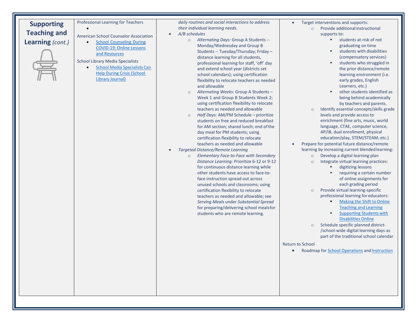## **Supporting Teaching and Learning** *(cont.)*



#### Professional Learning for Teachers

•

American School Counselor Association

**[School Counseling During](https://www.schoolcounselor.org/school-counselors/professional-development/learn-more/coronavirus-resources)** [COVID-19: Online Lessons](https://www.schoolcounselor.org/school-counselors/professional-development/learn-more/coronavirus-resources) and [Resources](https://www.schoolcounselor.org/school-counselors/professional-development/learn-more/coronavirus-resources)

School Library Media Specialists

• [School Media Specialists](https://www.slj.com/?detailStory=school-librarians-can-help-during-crisis-but-some-fear-being-shut-out-coronavirus-covid19) Ca[n](https://www.slj.com/?detailStory=school-librarians-can-help-during-crisis-but-some-fear-being-shut-out-coronavirus-covid19) [Help During Crisis \(School](https://www.slj.com/?detailStory=school-librarians-can-help-during-crisis-but-some-fear-being-shut-out-coronavirus-covid19) Library [Journal\)](https://www.slj.com/?detailStory=school-librarians-can-help-during-crisis-but-some-fear-being-shut-out-coronavirus-covid19)

*daily routines and social interactions to address their individual learning needs.*

- *A/B schedules*
	- o *Alternating Days:* Group A Students -- Monday/Wednesday and Group B Students -- Tuesday/Thursday; Friday – distance learning for all students, professional learning for staff, 'off' day and extend school year (districts set school calendars); using certification flexibility to relocate teachers as needed and allowable
	- o *Alternating Weeks*: Group A Students Week 1 and Group B Students Week 2; using certification flexibility to relocate teachers as needed and allowable
	- o *Half Days:* AM/PM Schedule prioritize students on free and reduced breakfast for AM section; shared lunch; end ofthe day meal for PM students; using certification flexibility to relocate teachers as needed and allowable
- *Targeted Distance/Remote Learning*
	- o *Elementary Face-to-Face with Secondary Distance Learning:* Prioritize 6-12 or 9-12 for continuous distance learning while other students have access to face-toface instruction spread out across unused schools and classrooms; using certification flexibility to relocate teachers as needed and allowable; see *Serving Meals* under *Substantial Spread*  for preparing/delivering school mealsfor students who are remote learning.
- Target interventions and supports:
	- Provide additional instructional supports to:
		- **students at-risk of not** graduating on time
		- students with disabilities (compensatory services)
		- **students who struggled in** the prior distance/remote learning environment (i.e. early grades, English Learners, etc.)
		- **•** other students identified as being behind academically by teachers and parents.
	- o Identify essential concepts/skills grade levels and provide access to enrichment (fine arts, music, world language, CTAE, computer science, AP/IB, dual enrollment, physical education/play, STEM/STEAM, etc.)
- Prepare for potential future distance/remote learning by increasing current blended learning:
	- o Develop a digital learning plan
	- o Integrate virtual learning practices:
		- digitizing lessons
			- requiring a certain number of online assignments for each grading period
	- o Provide virtual learning-specific professional learning for educators:
		- Making the Shift to Online [Teaching and](https://gavirtualpd.catalog.instructure.com/) Learning
		- **[Supporting Students](https://gavirtualpd.catalog.instructure.com/) wit[h](https://gavirtualpd.catalog.instructure.com/)** [Disabilities](https://gavirtualpd.catalog.instructure.com/) Online
	- o Schedule specific planned district- /school-wide digital learning days as part of the traditional school calendar

Return to School

• Roadmap for [School Operations](https://returntoschoolroadmap.org/operations/district/) and [Instruction](https://returntoschoolroadmap.org/instruction/district/)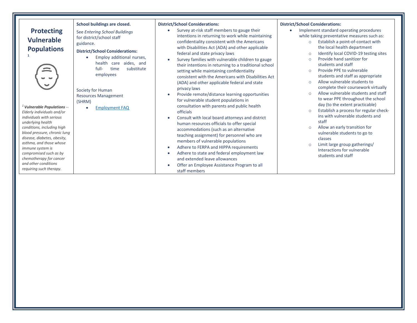| <b>District/School Considerations:</b><br><b>District/School Considerations:</b>                                                                                                                                                                                                                                                                                                                                                                                                                                                                                                                                                                                                                                                                                                                                                                                                                                                                                                                                                                                                                                                                                                                                                                                                                                                                                                                                                                                                                                                                                                                                                                                                                                                                                                                                                                                                                                                                                                                                                                                                                                                                                                                                                                                                                                                                                                                                                                                                                                    |                              |                                                                                                                                                                                                                                                   |  |
|---------------------------------------------------------------------------------------------------------------------------------------------------------------------------------------------------------------------------------------------------------------------------------------------------------------------------------------------------------------------------------------------------------------------------------------------------------------------------------------------------------------------------------------------------------------------------------------------------------------------------------------------------------------------------------------------------------------------------------------------------------------------------------------------------------------------------------------------------------------------------------------------------------------------------------------------------------------------------------------------------------------------------------------------------------------------------------------------------------------------------------------------------------------------------------------------------------------------------------------------------------------------------------------------------------------------------------------------------------------------------------------------------------------------------------------------------------------------------------------------------------------------------------------------------------------------------------------------------------------------------------------------------------------------------------------------------------------------------------------------------------------------------------------------------------------------------------------------------------------------------------------------------------------------------------------------------------------------------------------------------------------------------------------------------------------------------------------------------------------------------------------------------------------------------------------------------------------------------------------------------------------------------------------------------------------------------------------------------------------------------------------------------------------------------------------------------------------------------------------------------------------------|------------------------------|---------------------------------------------------------------------------------------------------------------------------------------------------------------------------------------------------------------------------------------------------|--|
| Implement standard operating procedures<br>Survey at-risk staff members to gauge their<br><b>Protecting</b><br>See Entering School Buildings<br>intentions in returning to work while maintaining<br>for district/school staff<br><b>Vulnerable</b><br>confidentiality consistent with the Americans<br>Establish a point-of-contact with<br>$\circ$<br>guidance.<br>with Disabilities Act (ADA) and other applicable<br>the local health department<br><b>Populations</b><br><b>District/School Considerations:</b><br>federal and state privacy laws<br>$\circ$<br>Employ additional nurses,<br>$\bullet$<br>Provide hand sanitizer for<br>Survey families with vulnerable children to gauge<br>$\Omega$<br>health care aides, and<br>students and staff<br>their intentions in returning to a traditional school<br>full-<br>time<br>substitute<br>Provide PPE to vulnerable<br>setting while maintaining confidentiality<br>$\Omega$<br>employees<br>students and staff as appropriate<br>consistent with the Americans with Disabilities Act<br>Allow vulnerable students to<br>$\Omega$<br>(ADA) and other applicable federal and state<br>privacy laws<br>Society for Human<br>$\Omega$<br>Provide remote/distance learning opportunities<br><b>Resources Management</b><br>for vulnerable student populations in<br>(SHRM)<br>day (to the extent practicable)<br>consultation with parents and public health<br>$1$ Vulnerable Populations $-$<br><b>Employment FAQ</b><br>$\bullet$<br>$\circ$<br>officials<br>Elderly individuals and/or<br>ins with vulnerable students and<br>individuals with serious<br>Consult with local board attorneys and district<br>staff<br>underlying health<br>human resources officials to offer special<br>Allow an early transition for<br>conditions, including high<br>$\circ$<br>accommodations (such as an alternative<br>blood pressure, chronic lung<br>vulnerable students to go to<br>teaching assignment) for personnel who are<br>disease, diabetes, obesity,<br>classes<br>members of vulnerable populations<br>asthma, and those whose<br>Limit large group gatherings/<br>$\circ$<br>Adhere to FERPA and HIPPA requirements<br>immune system is<br>Interactions for vulnerable<br>Adhere to state and federal employment law<br>compromised such as by<br>students and staff<br>chemotherapy for cancer<br>and extended leave allowances<br>and other conditions<br>Offer an Employee Assistance Program to all<br>requiring such therapy.<br>staff members | School buildings are closed. | while taking preventative measures such as:<br>Identify local COVID-19 testing sites<br>complete their coursework virtually<br>Allow vulnerable students and staff<br>to wear PPE throughout the school<br>Establish a process for regular check- |  |